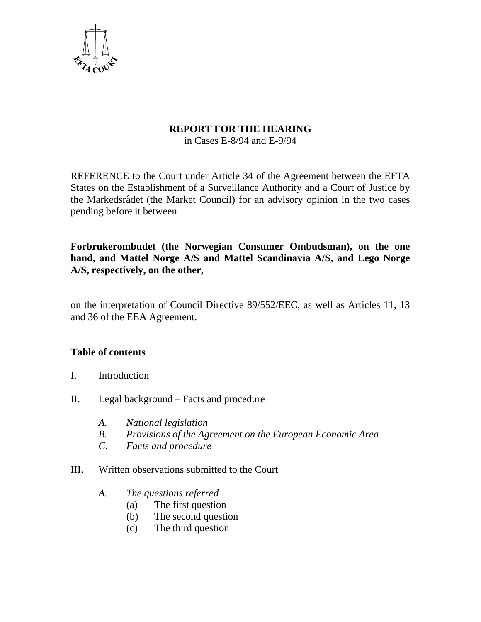

### **REPORT FOR THE HEARING**

in Cases E-8/94 and E-9/94

REFERENCE to the Court under Article 34 of the Agreement between the EFTA States on the Establishment of a Surveillance Authority and a Court of Justice by the Markedsrådet (the Market Council) for an advisory opinion in the two cases pending before it between

**Forbrukerombudet (the Norwegian Consumer Ombudsman), on the one hand, and Mattel Norge A/S and Mattel Scandinavia A/S, and Lego Norge A/S, respectively, on the other,** 

on the interpretation of Council Directive 89/552/EEC, as well as Articles 11, 13 and 36 of the EEA Agreement.

### **Table of contents**

- I. Introduction
- II. Legal background Facts and procedure
	- *A. National legislation*
	- *B. Provisions of the Agreement on the European Economic Area*
	- *C. Facts and procedure*
- III. Written observations submitted to the Court
	- *A. The questions referred* 
		- (a) The first question
		- (b) The second question
		- (c) The third question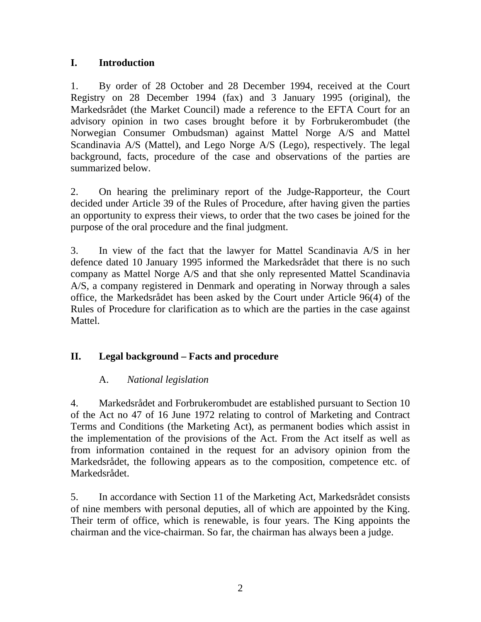## **I. Introduction**

1. By order of 28 October and 28 December 1994, received at the Court Registry on 28 December 1994 (fax) and 3 January 1995 (original), the Markedsrådet (the Market Council) made a reference to the EFTA Court for an advisory opinion in two cases brought before it by Forbrukerombudet (the Norwegian Consumer Ombudsman) against Mattel Norge A/S and Mattel Scandinavia A/S (Mattel), and Lego Norge A/S (Lego), respectively. The legal background, facts, procedure of the case and observations of the parties are summarized below.

2. On hearing the preliminary report of the Judge-Rapporteur, the Court decided under Article 39 of the Rules of Procedure, after having given the parties an opportunity to express their views, to order that the two cases be joined for the purpose of the oral procedure and the final judgment.

3. In view of the fact that the lawyer for Mattel Scandinavia A/S in her defence dated 10 January 1995 informed the Markedsrådet that there is no such company as Mattel Norge A/S and that she only represented Mattel Scandinavia A/S, a company registered in Denmark and operating in Norway through a sales office, the Markedsrådet has been asked by the Court under Article 96(4) of the Rules of Procedure for clarification as to which are the parties in the case against Mattel.

# **II. Legal background – Facts and procedure**

# A. *National legislation*

4. Markedsrådet and Forbrukerombudet are established pursuant to Section 10 of the Act no 47 of 16 June 1972 relating to control of Marketing and Contract Terms and Conditions (the Marketing Act), as permanent bodies which assist in the implementation of the provisions of the Act. From the Act itself as well as from information contained in the request for an advisory opinion from the Markedsrådet, the following appears as to the composition, competence etc. of Markedsrådet.

5. In accordance with Section 11 of the Marketing Act, Markedsrådet consists of nine members with personal deputies, all of which are appointed by the King. Their term of office, which is renewable, is four years. The King appoints the chairman and the vice-chairman. So far, the chairman has always been a judge.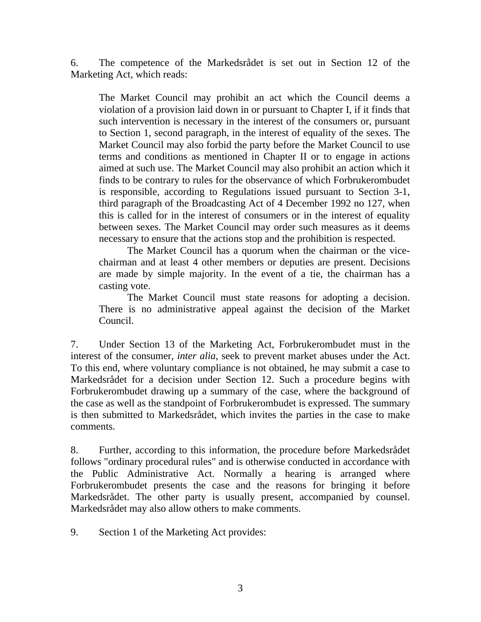6. The competence of the Markedsrådet is set out in Section 12 of the Marketing Act, which reads:

The Market Council may prohibit an act which the Council deems a violation of a provision laid down in or pursuant to Chapter I, if it finds that such intervention is necessary in the interest of the consumers or, pursuant to Section 1, second paragraph, in the interest of equality of the sexes. The Market Council may also forbid the party before the Market Council to use terms and conditions as mentioned in Chapter II or to engage in actions aimed at such use. The Market Council may also prohibit an action which it finds to be contrary to rules for the observance of which Forbrukerombudet is responsible, according to Regulations issued pursuant to Section 3-1, third paragraph of the Broadcasting Act of 4 December 1992 no 127, when this is called for in the interest of consumers or in the interest of equality between sexes. The Market Council may order such measures as it deems necessary to ensure that the actions stop and the prohibition is respected.

 The Market Council has a quorum when the chairman or the vicechairman and at least 4 other members or deputies are present. Decisions are made by simple majority. In the event of a tie, the chairman has a casting vote.

 The Market Council must state reasons for adopting a decision. There is no administrative appeal against the decision of the Market Council.

7. Under Section 13 of the Marketing Act, Forbrukerombudet must in the interest of the consumer, *inter alia*, seek to prevent market abuses under the Act. To this end, where voluntary compliance is not obtained, he may submit a case to Markedsrådet for a decision under Section 12. Such a procedure begins with Forbrukerombudet drawing up a summary of the case, where the background of the case as well as the standpoint of Forbrukerombudet is expressed. The summary is then submitted to Markedsrådet, which invites the parties in the case to make comments.

8. Further, according to this information, the procedure before Markedsrådet follows "ordinary procedural rules" and is otherwise conducted in accordance with the Public Administrative Act. Normally a hearing is arranged where Forbrukerombudet presents the case and the reasons for bringing it before Markedsrådet. The other party is usually present, accompanied by counsel. Markedsrådet may also allow others to make comments.

9. Section 1 of the Marketing Act provides: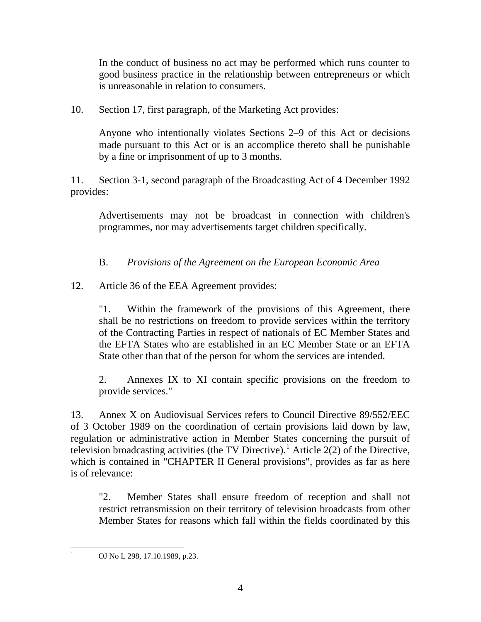In the conduct of business no act may be performed which runs counter to good business practice in the relationship between entrepreneurs or which is unreasonable in relation to consumers.

10. Section 17, first paragraph, of the Marketing Act provides:

Anyone who intentionally violates Sections 2–9 of this Act or decisions made pursuant to this Act or is an accomplice thereto shall be punishable by a fine or imprisonment of up to 3 months.

11. Section 3-1, second paragraph of the Broadcasting Act of 4 December 1992 provides:

Advertisements may not be broadcast in connection with children's programmes, nor may advertisements target children specifically.

B. *Provisions of the Agreement on the European Economic Area*

12. Article 36 of the EEA Agreement provides:

"1. Within the framework of the provisions of this Agreement, there shall be no restrictions on freedom to provide services within the territory of the Contracting Parties in respect of nationals of EC Member States and the EFTA States who are established in an EC Member State or an EFTA State other than that of the person for whom the services are intended.

2. Annexes IX to XI contain specific provisions on the freedom to provide services."

13. Annex X on Audiovisual Services refers to Council Directive 89/552/EEC of 3 October 1989 on the coordination of certain provisions laid down by law, regulation or administrative action in Member States concerning the pursuit of television broadcasting activities (the TV Directive).<sup>[1](#page-3-0)</sup> Article 2(2) of the Directive, which is contained in "CHAPTER II General provisions", provides as far as here is of relevance:

"2. Member States shall ensure freedom of reception and shall not restrict retransmission on their territory of television broadcasts from other Member States for reasons which fall within the fields coordinated by this

<span id="page-3-0"></span> $\frac{1}{1}$ OJ No L 298, 17.10.1989, p.23.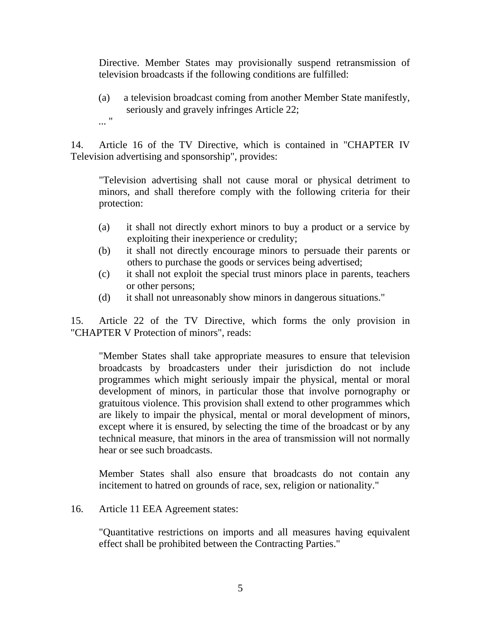Directive. Member States may provisionally suspend retransmission of television broadcasts if the following conditions are fulfilled:

(a) a television broadcast coming from another Member State manifestly, seriously and gravely infringes Article 22; ... "

14. Article 16 of the TV Directive, which is contained in "CHAPTER IV Television advertising and sponsorship", provides:

"Television advertising shall not cause moral or physical detriment to minors, and shall therefore comply with the following criteria for their protection:

- (a) it shall not directly exhort minors to buy a product or a service by exploiting their inexperience or credulity;
- (b) it shall not directly encourage minors to persuade their parents or others to purchase the goods or services being advertised;
- (c) it shall not exploit the special trust minors place in parents, teachers or other persons;
- (d) it shall not unreasonably show minors in dangerous situations."

15. Article 22 of the TV Directive, which forms the only provision in "CHAPTER V Protection of minors", reads:

"Member States shall take appropriate measures to ensure that television broadcasts by broadcasters under their jurisdiction do not include programmes which might seriously impair the physical, mental or moral development of minors, in particular those that involve pornography or gratuitous violence. This provision shall extend to other programmes which are likely to impair the physical, mental or moral development of minors, except where it is ensured, by selecting the time of the broadcast or by any technical measure, that minors in the area of transmission will not normally hear or see such broadcasts.

Member States shall also ensure that broadcasts do not contain any incitement to hatred on grounds of race, sex, religion or nationality."

16. Article 11 EEA Agreement states:

"Quantitative restrictions on imports and all measures having equivalent effect shall be prohibited between the Contracting Parties."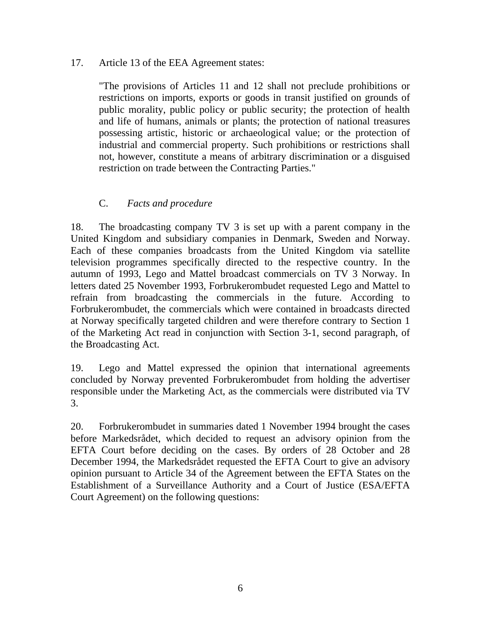### 17. Article 13 of the EEA Agreement states:

"The provisions of Articles 11 and 12 shall not preclude prohibitions or restrictions on imports, exports or goods in transit justified on grounds of public morality, public policy or public security; the protection of health and life of humans, animals or plants; the protection of national treasures possessing artistic, historic or archaeological value; or the protection of industrial and commercial property. Such prohibitions or restrictions shall not, however, constitute a means of arbitrary discrimination or a disguised restriction on trade between the Contracting Parties."

## C. *Facts and procedure*

18. The broadcasting company TV 3 is set up with a parent company in the United Kingdom and subsidiary companies in Denmark, Sweden and Norway. Each of these companies broadcasts from the United Kingdom via satellite television programmes specifically directed to the respective country. In the autumn of 1993, Lego and Mattel broadcast commercials on TV 3 Norway. In letters dated 25 November 1993, Forbrukerombudet requested Lego and Mattel to refrain from broadcasting the commercials in the future. According to Forbrukerombudet, the commercials which were contained in broadcasts directed at Norway specifically targeted children and were therefore contrary to Section 1 of the Marketing Act read in conjunction with Section 3-1, second paragraph, of the Broadcasting Act.

19. Lego and Mattel expressed the opinion that international agreements concluded by Norway prevented Forbrukerombudet from holding the advertiser responsible under the Marketing Act, as the commercials were distributed via TV 3.

20. Forbrukerombudet in summaries dated 1 November 1994 brought the cases before Markedsrådet, which decided to request an advisory opinion from the EFTA Court before deciding on the cases. By orders of 28 October and 28 December 1994, the Markedsrådet requested the EFTA Court to give an advisory opinion pursuant to Article 34 of the Agreement between the EFTA States on the Establishment of a Surveillance Authority and a Court of Justice (ESA/EFTA Court Agreement) on the following questions: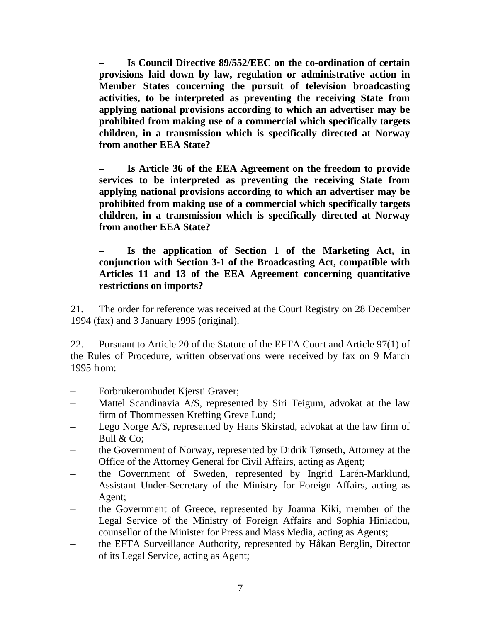**– Is Council Directive 89/552/EEC on the co-ordination of certain provisions laid down by law, regulation or administrative action in Member States concerning the pursuit of television broadcasting activities, to be interpreted as preventing the receiving State from applying national provisions according to which an advertiser may be prohibited from making use of a commercial which specifically targets children, in a transmission which is specifically directed at Norway from another EEA State?** 

**– Is Article 36 of the EEA Agreement on the freedom to provide services to be interpreted as preventing the receiving State from applying national provisions according to which an advertiser may be prohibited from making use of a commercial which specifically targets children, in a transmission which is specifically directed at Norway from another EEA State?** 

**– Is the application of Section 1 of the Marketing Act, in conjunction with Section 3-1 of the Broadcasting Act, compatible with Articles 11 and 13 of the EEA Agreement concerning quantitative restrictions on imports?** 

21. The order for reference was received at the Court Registry on 28 December 1994 (fax) and 3 January 1995 (original).

22. Pursuant to Article 20 of the Statute of the EFTA Court and Article 97(1) of the Rules of Procedure, written observations were received by fax on 9 March 1995 from:

- Forbrukerombudet Kjersti Graver;
- Mattel Scandinavia A/S, represented by Siri Teigum, advokat at the law firm of Thommessen Krefting Greve Lund;
- Lego Norge A/S, represented by Hans Skirstad, advokat at the law firm of Bull & Co;
- the Government of Norway, represented by Didrik Tønseth, Attorney at the Office of the Attorney General for Civil Affairs, acting as Agent;
- the Government of Sweden, represented by Ingrid Larén-Marklund, Assistant Under-Secretary of the Ministry for Foreign Affairs, acting as Agent;
- the Government of Greece, represented by Joanna Kiki, member of the Legal Service of the Ministry of Foreign Affairs and Sophia Hiniadou, counsellor of the Minister for Press and Mass Media, acting as Agents;
- the EFTA Surveillance Authority, represented by Håkan Berglin, Director of its Legal Service, acting as Agent;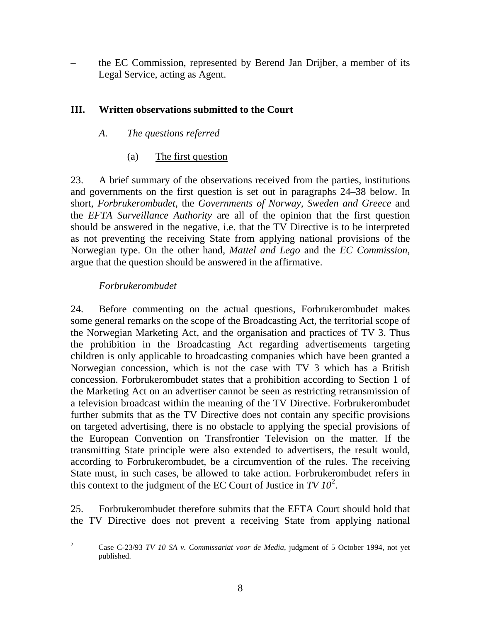– the EC Commission, represented by Berend Jan Drijber, a member of its Legal Service, acting as Agent.

## **III. Written observations submitted to the Court**

## *A. The questions referred*

(a) The first question

23. A brief summary of the observations received from the parties, institutions and governments on the first question is set out in paragraphs 24–38 below. In short, *Forbrukerombudet*, the *Governments of Norway, Sweden and Greece* and the *EFTA Surveillance Authority* are all of the opinion that the first question should be answered in the negative, i.e. that the TV Directive is to be interpreted as not preventing the receiving State from applying national provisions of the Norwegian type. On the other hand, *Mattel and Lego* and the *EC Commission*, argue that the question should be answered in the affirmative.

## *Forbrukerombudet*

24. Before commenting on the actual questions, Forbrukerombudet makes some general remarks on the scope of the Broadcasting Act, the territorial scope of the Norwegian Marketing Act, and the organisation and practices of TV 3. Thus the prohibition in the Broadcasting Act regarding advertisements targeting children is only applicable to broadcasting companies which have been granted a Norwegian concession, which is not the case with TV 3 which has a British concession. Forbrukerombudet states that a prohibition according to Section 1 of the Marketing Act on an advertiser cannot be seen as restricting retransmission of a television broadcast within the meaning of the TV Directive. Forbrukerombudet further submits that as the TV Directive does not contain any specific provisions on targeted advertising, there is no obstacle to applying the special provisions of the European Convention on Transfrontier Television on the matter. If the transmitting State principle were also extended to advertisers, the result would, according to Forbrukerombudet, be a circumvention of the rules. The receiving State must, in such cases, be allowed to take action. Forbrukerombudet refers in this context to the judgment of the EC Court of Justice in  $TV 10^2$  $TV 10^2$ .

25. Forbrukerombudet therefore submits that the EFTA Court should hold that the TV Directive does not prevent a receiving State from applying national

<span id="page-7-0"></span> $\frac{1}{2}$ 

Case C-23/93 *TV 10 SA v. Commissariat voor de Media*, judgment of 5 October 1994, not yet published.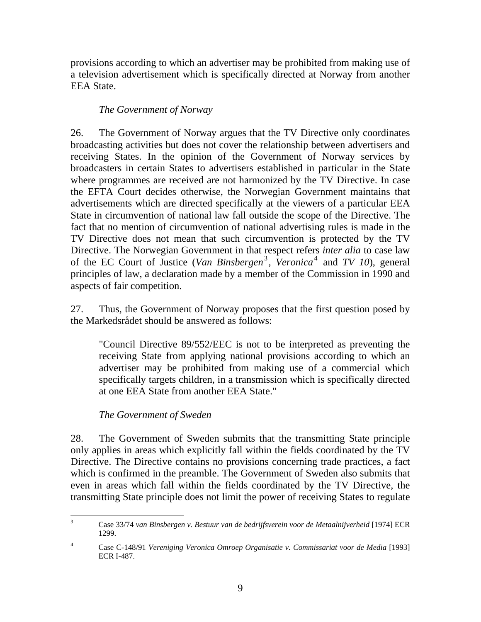provisions according to which an advertiser may be prohibited from making use of a television advertisement which is specifically directed at Norway from another EEA State.

## *The Government of Norway*

26. The Government of Norway argues that the TV Directive only coordinates broadcasting activities but does not cover the relationship between advertisers and receiving States. In the opinion of the Government of Norway services by broadcasters in certain States to advertisers established in particular in the State where programmes are received are not harmonized by the TV Directive. In case the EFTA Court decides otherwise, the Norwegian Government maintains that advertisements which are directed specifically at the viewers of a particular EEA State in circumvention of national law fall outside the scope of the Directive. The fact that no mention of circumvention of national advertising rules is made in the TV Directive does not mean that such circumvention is protected by the TV Directive. The Norwegian Government in that respect refers *inter alia* to case law of the EC Court of Justice (*Van Binsbergen*<sup>[3](#page-8-0)</sup>, Veronica<sup>[4](#page-8-1)</sup> and *TV 10*), general principles of law, a declaration made by a member of the Commission in 1990 and aspects of fair competition.

27. Thus, the Government of Norway proposes that the first question posed by the Markedsrådet should be answered as follows:

"Council Directive 89/552/EEC is not to be interpreted as preventing the receiving State from applying national provisions according to which an advertiser may be prohibited from making use of a commercial which specifically targets children, in a transmission which is specifically directed at one EEA State from another EEA State."

# *The Government of Sweden*

28. The Government of Sweden submits that the transmitting State principle only applies in areas which explicitly fall within the fields coordinated by the TV Directive. The Directive contains no provisions concerning trade practices, a fact which is confirmed in the preamble. The Government of Sweden also submits that even in areas which fall within the fields coordinated by the TV Directive, the transmitting State principle does not limit the power of receiving States to regulate

<span id="page-8-0"></span> $\frac{1}{3}$  Case 33/74 *van Binsbergen v. Bestuur van de bedrijfsverein voor de Metaalnijverheid* [1974] ECR 1299.

<span id="page-8-1"></span><sup>4</sup> Case C-148/91 *Vereniging Veronica Omroep Organisatie v. Commissariat voor de Media* [1993] ECR I-487.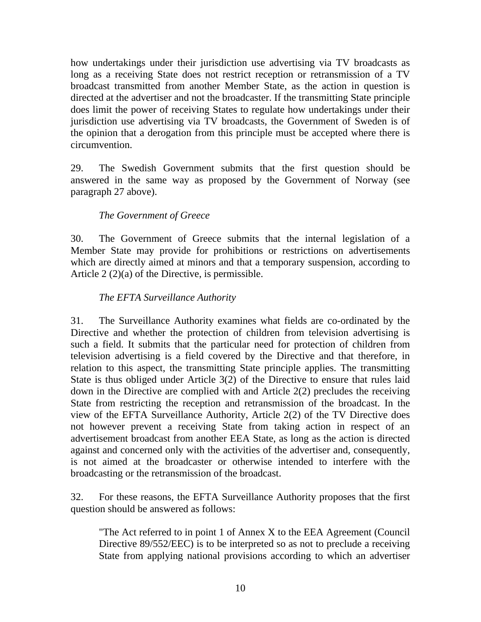how undertakings under their jurisdiction use advertising via TV broadcasts as long as a receiving State does not restrict reception or retransmission of a TV broadcast transmitted from another Member State, as the action in question is directed at the advertiser and not the broadcaster. If the transmitting State principle does limit the power of receiving States to regulate how undertakings under their jurisdiction use advertising via TV broadcasts, the Government of Sweden is of the opinion that a derogation from this principle must be accepted where there is circumvention.

29. The Swedish Government submits that the first question should be answered in the same way as proposed by the Government of Norway (see paragraph 27 above).

## *The Government of Greece*

30. The Government of Greece submits that the internal legislation of a Member State may provide for prohibitions or restrictions on advertisements which are directly aimed at minors and that a temporary suspension, according to Article 2 (2)(a) of the Directive, is permissible.

### *The EFTA Surveillance Authority*

31. The Surveillance Authority examines what fields are co-ordinated by the Directive and whether the protection of children from television advertising is such a field. It submits that the particular need for protection of children from television advertising is a field covered by the Directive and that therefore, in relation to this aspect, the transmitting State principle applies. The transmitting State is thus obliged under Article 3(2) of the Directive to ensure that rules laid down in the Directive are complied with and Article 2(2) precludes the receiving State from restricting the reception and retransmission of the broadcast. In the view of the EFTA Surveillance Authority, Article 2(2) of the TV Directive does not however prevent a receiving State from taking action in respect of an advertisement broadcast from another EEA State, as long as the action is directed against and concerned only with the activities of the advertiser and, consequently, is not aimed at the broadcaster or otherwise intended to interfere with the broadcasting or the retransmission of the broadcast.

32. For these reasons, the EFTA Surveillance Authority proposes that the first question should be answered as follows:

"The Act referred to in point 1 of Annex X to the EEA Agreement (Council Directive 89/552/EEC) is to be interpreted so as not to preclude a receiving State from applying national provisions according to which an advertiser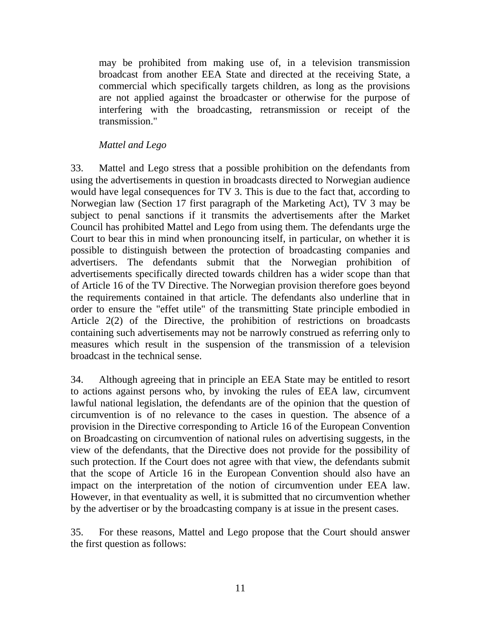may be prohibited from making use of, in a television transmission broadcast from another EEA State and directed at the receiving State, a commercial which specifically targets children, as long as the provisions are not applied against the broadcaster or otherwise for the purpose of interfering with the broadcasting, retransmission or receipt of the transmission."

### *Mattel and Lego*

33. Mattel and Lego stress that a possible prohibition on the defendants from using the advertisements in question in broadcasts directed to Norwegian audience would have legal consequences for TV 3. This is due to the fact that, according to Norwegian law (Section 17 first paragraph of the Marketing Act), TV 3 may be subject to penal sanctions if it transmits the advertisements after the Market Council has prohibited Mattel and Lego from using them. The defendants urge the Court to bear this in mind when pronouncing itself, in particular, on whether it is possible to distinguish between the protection of broadcasting companies and advertisers. The defendants submit that the Norwegian prohibition of advertisements specifically directed towards children has a wider scope than that of Article 16 of the TV Directive. The Norwegian provision therefore goes beyond the requirements contained in that article. The defendants also underline that in order to ensure the "effet utile" of the transmitting State principle embodied in Article 2(2) of the Directive, the prohibition of restrictions on broadcasts containing such advertisements may not be narrowly construed as referring only to measures which result in the suspension of the transmission of a television broadcast in the technical sense.

34. Although agreeing that in principle an EEA State may be entitled to resort to actions against persons who, by invoking the rules of EEA law, circumvent lawful national legislation, the defendants are of the opinion that the question of circumvention is of no relevance to the cases in question. The absence of a provision in the Directive corresponding to Article 16 of the European Convention on Broadcasting on circumvention of national rules on advertising suggests, in the view of the defendants, that the Directive does not provide for the possibility of such protection. If the Court does not agree with that view, the defendants submit that the scope of Article 16 in the European Convention should also have an impact on the interpretation of the notion of circumvention under EEA law. However, in that eventuality as well, it is submitted that no circumvention whether by the advertiser or by the broadcasting company is at issue in the present cases.

35. For these reasons, Mattel and Lego propose that the Court should answer the first question as follows: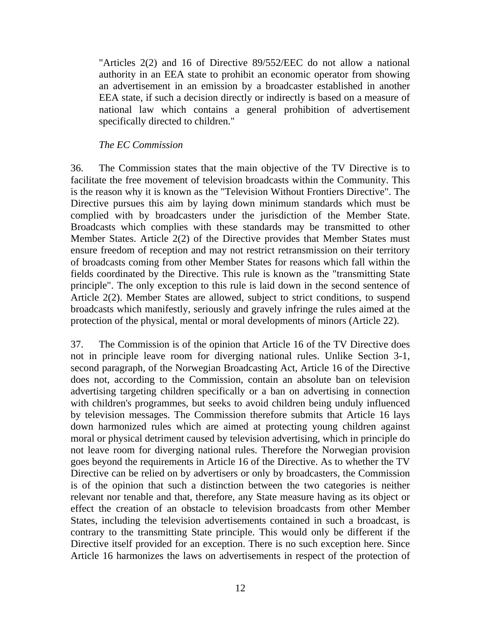"Articles 2(2) and 16 of Directive 89/552/EEC do not allow a national authority in an EEA state to prohibit an economic operator from showing an advertisement in an emission by a broadcaster established in another EEA state, if such a decision directly or indirectly is based on a measure of national law which contains a general prohibition of advertisement specifically directed to children."

#### *The EC Commission*

36. The Commission states that the main objective of the TV Directive is to facilitate the free movement of television broadcasts within the Community. This is the reason why it is known as the "Television Without Frontiers Directive". The Directive pursues this aim by laying down minimum standards which must be complied with by broadcasters under the jurisdiction of the Member State. Broadcasts which complies with these standards may be transmitted to other Member States. Article 2(2) of the Directive provides that Member States must ensure freedom of reception and may not restrict retransmission on their territory of broadcasts coming from other Member States for reasons which fall within the fields coordinated by the Directive. This rule is known as the "transmitting State principle". The only exception to this rule is laid down in the second sentence of Article 2(2). Member States are allowed, subject to strict conditions, to suspend broadcasts which manifestly, seriously and gravely infringe the rules aimed at the protection of the physical, mental or moral developments of minors (Article 22).

37. The Commission is of the opinion that Article 16 of the TV Directive does not in principle leave room for diverging national rules. Unlike Section 3-1, second paragraph, of the Norwegian Broadcasting Act, Article 16 of the Directive does not, according to the Commission, contain an absolute ban on television advertising targeting children specifically or a ban on advertising in connection with children's programmes, but seeks to avoid children being unduly influenced by television messages. The Commission therefore submits that Article 16 lays down harmonized rules which are aimed at protecting young children against moral or physical detriment caused by television advertising, which in principle do not leave room for diverging national rules. Therefore the Norwegian provision goes beyond the requirements in Article 16 of the Directive. As to whether the TV Directive can be relied on by advertisers or only by broadcasters, the Commission is of the opinion that such a distinction between the two categories is neither relevant nor tenable and that, therefore, any State measure having as its object or effect the creation of an obstacle to television broadcasts from other Member States, including the television advertisements contained in such a broadcast, is contrary to the transmitting State principle. This would only be different if the Directive itself provided for an exception. There is no such exception here. Since Article 16 harmonizes the laws on advertisements in respect of the protection of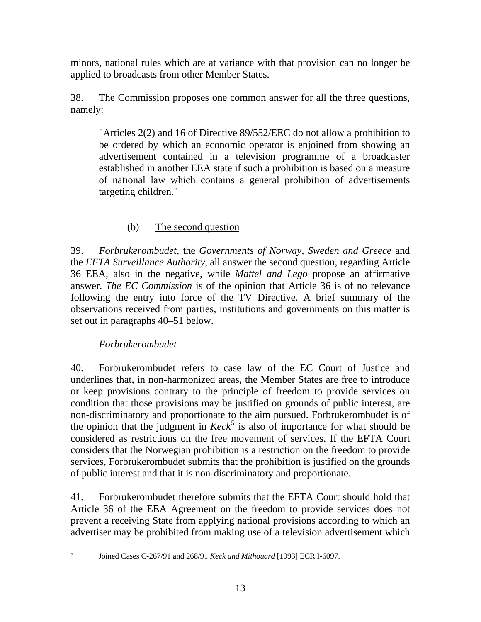minors, national rules which are at variance with that provision can no longer be applied to broadcasts from other Member States.

38. The Commission proposes one common answer for all the three questions, namely:

"Articles 2(2) and 16 of Directive 89/552/EEC do not allow a prohibition to be ordered by which an economic operator is enjoined from showing an advertisement contained in a television programme of a broadcaster established in another EEA state if such a prohibition is based on a measure of national law which contains a general prohibition of advertisements targeting children."

# (b) The second question

39. *Forbrukerombudet*, the *Governments of Norway, Sweden and Greece* and the *EFTA Surveillance Authority*, all answer the second question, regarding Article 36 EEA, also in the negative, while *Mattel and Lego* propose an affirmative answer. *The EC Commission* is of the opinion that Article 36 is of no relevance following the entry into force of the TV Directive. A brief summary of the observations received from parties, institutions and governments on this matter is set out in paragraphs 40–51 below.

# *Forbrukerombudet*

40. Forbrukerombudet refers to case law of the EC Court of Justice and underlines that, in non-harmonized areas, the Member States are free to introduce or keep provisions contrary to the principle of freedom to provide services on condition that those provisions may be justified on grounds of public interest, are non-discriminatory and proportionate to the aim pursued. Forbrukerombudet is of the opinion that the judgment in  $Keck^5$  $Keck^5$  is also of importance for what should be considered as restrictions on the free movement of services. If the EFTA Court considers that the Norwegian prohibition is a restriction on the freedom to provide services, Forbrukerombudet submits that the prohibition is justified on the grounds of public interest and that it is non-discriminatory and proportionate.

41. Forbrukerombudet therefore submits that the EFTA Court should hold that Article 36 of the EEA Agreement on the freedom to provide services does not prevent a receiving State from applying national provisions according to which an advertiser may be prohibited from making use of a television advertisement which

<span id="page-12-0"></span> $\frac{1}{5}$ 

Joined Cases C-267/91 and 268/91 *Keck and Mithouard* [1993] ECR I-6097.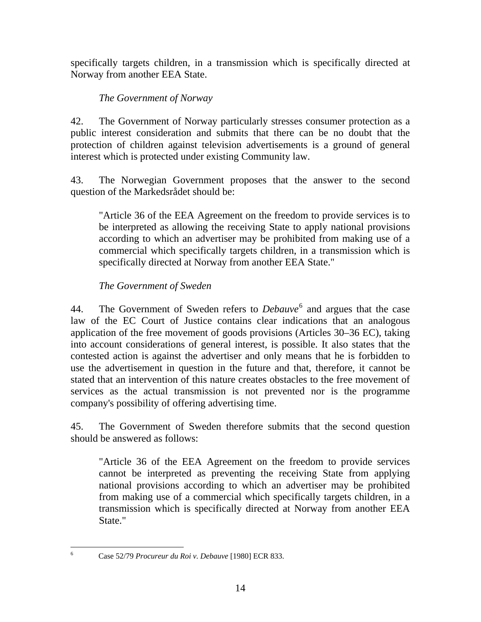specifically targets children, in a transmission which is specifically directed at Norway from another EEA State.

# *The Government of Norway*

42. The Government of Norway particularly stresses consumer protection as a public interest consideration and submits that there can be no doubt that the protection of children against television advertisements is a ground of general interest which is protected under existing Community law.

43. The Norwegian Government proposes that the answer to the second question of the Markedsrådet should be:

"Article 36 of the EEA Agreement on the freedom to provide services is to be interpreted as allowing the receiving State to apply national provisions according to which an advertiser may be prohibited from making use of a commercial which specifically targets children, in a transmission which is specifically directed at Norway from another EEA State."

# *The Government of Sweden*

44. The Government of Sweden refers to *Debauve*<sup>[6](#page-13-0)</sup> and argues that the case law of the EC Court of Justice contains clear indications that an analogous application of the free movement of goods provisions (Articles 30–36 EC), taking into account considerations of general interest, is possible. It also states that the contested action is against the advertiser and only means that he is forbidden to use the advertisement in question in the future and that, therefore, it cannot be stated that an intervention of this nature creates obstacles to the free movement of services as the actual transmission is not prevented nor is the programme company's possibility of offering advertising time.

45. The Government of Sweden therefore submits that the second question should be answered as follows:

"Article 36 of the EEA Agreement on the freedom to provide services cannot be interpreted as preventing the receiving State from applying national provisions according to which an advertiser may be prohibited from making use of a commercial which specifically targets children, in a transmission which is specifically directed at Norway from another EEA State."

<span id="page-13-0"></span> $\frac{1}{6}$ 

Case 52/79 *Procureur du Roi v. Debauve* [1980] ECR 833.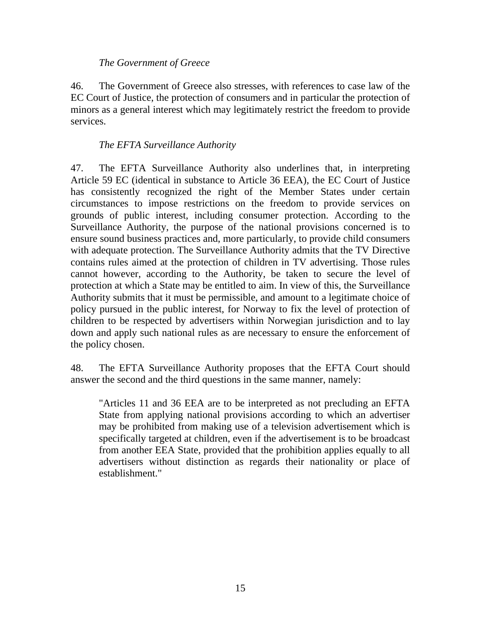### *The Government of Greece*

46. The Government of Greece also stresses, with references to case law of the EC Court of Justice, the protection of consumers and in particular the protection of minors as a general interest which may legitimately restrict the freedom to provide services.

## *The EFTA Surveillance Authority*

47. The EFTA Surveillance Authority also underlines that, in interpreting Article 59 EC (identical in substance to Article 36 EEA), the EC Court of Justice has consistently recognized the right of the Member States under certain circumstances to impose restrictions on the freedom to provide services on grounds of public interest, including consumer protection. According to the Surveillance Authority, the purpose of the national provisions concerned is to ensure sound business practices and, more particularly, to provide child consumers with adequate protection. The Surveillance Authority admits that the TV Directive contains rules aimed at the protection of children in TV advertising. Those rules cannot however, according to the Authority, be taken to secure the level of protection at which a State may be entitled to aim. In view of this, the Surveillance Authority submits that it must be permissible, and amount to a legitimate choice of policy pursued in the public interest, for Norway to fix the level of protection of children to be respected by advertisers within Norwegian jurisdiction and to lay down and apply such national rules as are necessary to ensure the enforcement of the policy chosen.

48. The EFTA Surveillance Authority proposes that the EFTA Court should answer the second and the third questions in the same manner, namely:

 "Articles 11 and 36 EEA are to be interpreted as not precluding an EFTA State from applying national provisions according to which an advertiser may be prohibited from making use of a television advertisement which is specifically targeted at children, even if the advertisement is to be broadcast from another EEA State, provided that the prohibition applies equally to all advertisers without distinction as regards their nationality or place of establishment."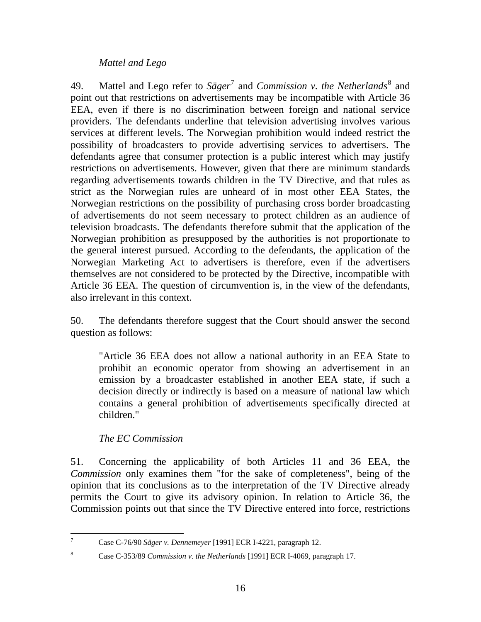#### *Mattel and Lego*

49. Mattel and Lego refer to Säger<sup>[7](#page-15-0)</sup> and *Commission v. the Netherlands*<sup>[8](#page-15-1)</sup> and point out that restrictions on advertisements may be incompatible with Article 36 EEA, even if there is no discrimination between foreign and national service providers. The defendants underline that television advertising involves various services at different levels. The Norwegian prohibition would indeed restrict the possibility of broadcasters to provide advertising services to advertisers. The defendants agree that consumer protection is a public interest which may justify restrictions on advertisements. However, given that there are minimum standards regarding advertisements towards children in the TV Directive, and that rules as strict as the Norwegian rules are unheard of in most other EEA States, the Norwegian restrictions on the possibility of purchasing cross border broadcasting of advertisements do not seem necessary to protect children as an audience of television broadcasts. The defendants therefore submit that the application of the Norwegian prohibition as presupposed by the authorities is not proportionate to the general interest pursued. According to the defendants, the application of the Norwegian Marketing Act to advertisers is therefore, even if the advertisers themselves are not considered to be protected by the Directive, incompatible with Article 36 EEA. The question of circumvention is, in the view of the defendants, also irrelevant in this context.

50. The defendants therefore suggest that the Court should answer the second question as follows:

"Article 36 EEA does not allow a national authority in an EEA State to prohibit an economic operator from showing an advertisement in an emission by a broadcaster established in another EEA state, if such a decision directly or indirectly is based on a measure of national law which contains a general prohibition of advertisements specifically directed at children."

### *The EC Commission*

51. Concerning the applicability of both Articles 11 and 36 EEA, the *Commission* only examines them "for the sake of completeness", being of the opinion that its conclusions as to the interpretation of the TV Directive already permits the Court to give its advisory opinion. In relation to Article 36, the Commission points out that since the TV Directive entered into force, restrictions

 $\frac{1}{7}$ Case C-76/90 *Säger v. Dennemeyer* [1991] ECR I-4221, paragraph 12.

<span id="page-15-1"></span><span id="page-15-0"></span><sup>8</sup> Case C-353/89 *Commission v. the Netherlands* [1991] ECR I-4069, paragraph 17.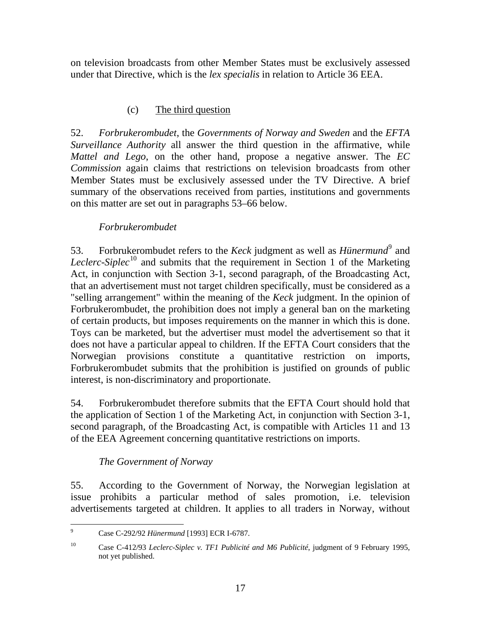on television broadcasts from other Member States must be exclusively assessed under that Directive, which is the *lex specialis* in relation to Article 36 EEA.

# (c) The third question

52. *Forbrukerombudet*, the *Governments of Norway and Sweden* and the *EFTA Surveillance Authority* all answer the third question in the affirmative, while *Mattel and Lego*, on the other hand, propose a negative answer. The *EC Commission* again claims that restrictions on television broadcasts from other Member States must be exclusively assessed under the TV Directive. A brief summary of the observations received from parties, institutions and governments on this matter are set out in paragraphs 53–66 below.

# *Forbrukerombudet*

53. Forbrukerombudet refers to the *Keck* judgment as well as *Hünermund*<sup>[9](#page-16-0)</sup> and *Leclerc-Siplec*<sup>[10](#page-16-1)</sup> and submits that the requirement in Section 1 of the Marketing Act, in conjunction with Section 3-1, second paragraph, of the Broadcasting Act, that an advertisement must not target children specifically, must be considered as a "selling arrangement" within the meaning of the *Keck* judgment. In the opinion of Forbrukerombudet, the prohibition does not imply a general ban on the marketing of certain products, but imposes requirements on the manner in which this is done. Toys can be marketed, but the advertiser must model the advertisement so that it does not have a particular appeal to children. If the EFTA Court considers that the Norwegian provisions constitute a quantitative restriction on imports, Forbrukerombudet submits that the prohibition is justified on grounds of public interest, is non-discriminatory and proportionate.

54. Forbrukerombudet therefore submits that the EFTA Court should hold that the application of Section 1 of the Marketing Act, in conjunction with Section 3-1, second paragraph, of the Broadcasting Act, is compatible with Articles 11 and 13 of the EEA Agreement concerning quantitative restrictions on imports.

# *The Government of Norway*

55. According to the Government of Norway, the Norwegian legislation at issue prohibits a particular method of sales promotion, i.e. television advertisements targeted at children. It applies to all traders in Norway, without

<sup>-&</sup>lt;br>9 Case C-292/92 *Hünermund* [1993] ECR I-6787.

<span id="page-16-1"></span><span id="page-16-0"></span><sup>10</sup> Case C-412/93 *Leclerc-Siplec v. TF1 Publicité and M6 Publicité*, judgment of 9 February 1995, not yet published.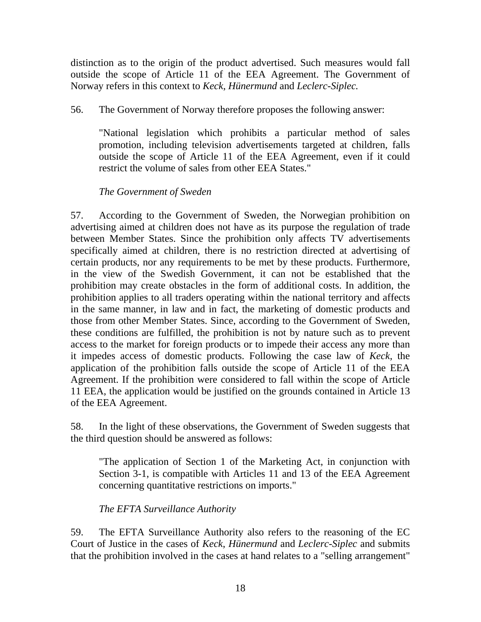distinction as to the origin of the product advertised. Such measures would fall outside the scope of Article 11 of the EEA Agreement. The Government of Norway refers in this context to *Keck*, *Hünermund* and *Leclerc-Siplec.* 

56. The Government of Norway therefore proposes the following answer:

"National legislation which prohibits a particular method of sales promotion, including television advertisements targeted at children, falls outside the scope of Article 11 of the EEA Agreement, even if it could restrict the volume of sales from other EEA States."

# *The Government of Sweden*

57. According to the Government of Sweden, the Norwegian prohibition on advertising aimed at children does not have as its purpose the regulation of trade between Member States. Since the prohibition only affects TV advertisements specifically aimed at children, there is no restriction directed at advertising of certain products, nor any requirements to be met by these products. Furthermore, in the view of the Swedish Government, it can not be established that the prohibition may create obstacles in the form of additional costs. In addition, the prohibition applies to all traders operating within the national territory and affects in the same manner, in law and in fact, the marketing of domestic products and those from other Member States. Since, according to the Government of Sweden, these conditions are fulfilled, the prohibition is not by nature such as to prevent access to the market for foreign products or to impede their access any more than it impedes access of domestic products. Following the case law of *Keck*, the application of the prohibition falls outside the scope of Article 11 of the EEA Agreement. If the prohibition were considered to fall within the scope of Article 11 EEA, the application would be justified on the grounds contained in Article 13 of the EEA Agreement.

58. In the light of these observations, the Government of Sweden suggests that the third question should be answered as follows:

"The application of Section 1 of the Marketing Act, in conjunction with Section 3-1, is compatible with Articles 11 and 13 of the EEA Agreement concerning quantitative restrictions on imports."

*The EFTA Surveillance Authority*

59. The EFTA Surveillance Authority also refers to the reasoning of the EC Court of Justice in the cases of *Keck*, *Hünermund* and *Leclerc-Siplec* and submits that the prohibition involved in the cases at hand relates to a "selling arrangement"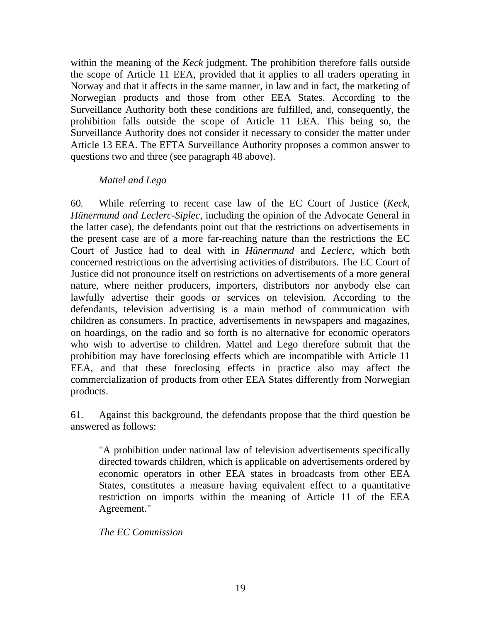within the meaning of the *Keck* judgment. The prohibition therefore falls outside the scope of Article 11 EEA, provided that it applies to all traders operating in Norway and that it affects in the same manner, in law and in fact, the marketing of Norwegian products and those from other EEA States. According to the Surveillance Authority both these conditions are fulfilled, and, consequently, the prohibition falls outside the scope of Article 11 EEA. This being so, the Surveillance Authority does not consider it necessary to consider the matter under Article 13 EEA. The EFTA Surveillance Authority proposes a common answer to questions two and three (see paragraph 48 above).

#### *Mattel and Lego*

60*.* While referring to recent case law of the EC Court of Justice (*Keck, Hünermund and Leclerc-Siplec*, including the opinion of the Advocate General in the latter case), the defendants point out that the restrictions on advertisements in the present case are of a more far-reaching nature than the restrictions the EC Court of Justice had to deal with in *Hünermund* and *Leclerc*, which both concerned restrictions on the advertising activities of distributors. The EC Court of Justice did not pronounce itself on restrictions on advertisements of a more general nature, where neither producers, importers, distributors nor anybody else can lawfully advertise their goods or services on television. According to the defendants, television advertising is a main method of communication with children as consumers. In practice, advertisements in newspapers and magazines, on hoardings, on the radio and so forth is no alternative for economic operators who wish to advertise to children. Mattel and Lego therefore submit that the prohibition may have foreclosing effects which are incompatible with Article 11 EEA, and that these foreclosing effects in practice also may affect the commercialization of products from other EEA States differently from Norwegian products.

61. Against this background, the defendants propose that the third question be answered as follows:

"A prohibition under national law of television advertisements specifically directed towards children, which is applicable on advertisements ordered by economic operators in other EEA states in broadcasts from other EEA States, constitutes a measure having equivalent effect to a quantitative restriction on imports within the meaning of Article 11 of the EEA Agreement."

### *The EC Commission*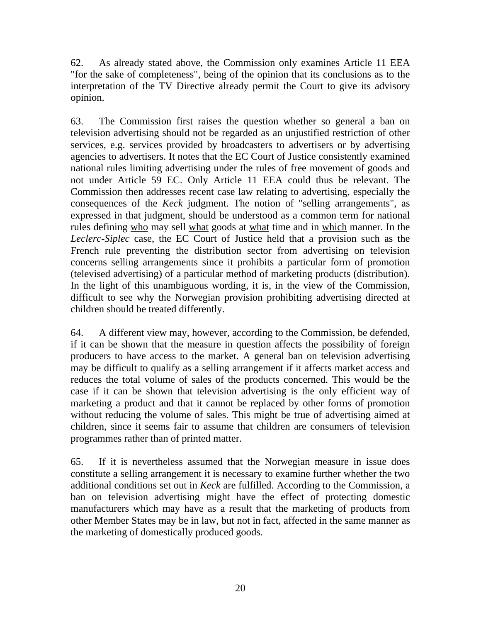62. As already stated above, the Commission only examines Article 11 EEA "for the sake of completeness", being of the opinion that its conclusions as to the interpretation of the TV Directive already permit the Court to give its advisory opinion.

63. The Commission first raises the question whether so general a ban on television advertising should not be regarded as an unjustified restriction of other services, e.g. services provided by broadcasters to advertisers or by advertising agencies to advertisers. It notes that the EC Court of Justice consistently examined national rules limiting advertising under the rules of free movement of goods and not under Article 59 EC. Only Article 11 EEA could thus be relevant. The Commission then addresses recent case law relating to advertising, especially the consequences of the *Keck* judgment. The notion of "selling arrangements", as expressed in that judgment, should be understood as a common term for national rules defining who may sell what goods at what time and in which manner. In the *Leclerc-Siplec* case, the EC Court of Justice held that a provision such as the French rule preventing the distribution sector from advertising on television concerns selling arrangements since it prohibits a particular form of promotion (televised advertising) of a particular method of marketing products (distribution). In the light of this unambiguous wording, it is, in the view of the Commission, difficult to see why the Norwegian provision prohibiting advertising directed at children should be treated differently.

64. A different view may, however, according to the Commission, be defended, if it can be shown that the measure in question affects the possibility of foreign producers to have access to the market. A general ban on television advertising may be difficult to qualify as a selling arrangement if it affects market access and reduces the total volume of sales of the products concerned. This would be the case if it can be shown that television advertising is the only efficient way of marketing a product and that it cannot be replaced by other forms of promotion without reducing the volume of sales. This might be true of advertising aimed at children, since it seems fair to assume that children are consumers of television programmes rather than of printed matter.

65. If it is nevertheless assumed that the Norwegian measure in issue does constitute a selling arrangement it is necessary to examine further whether the two additional conditions set out in *Keck* are fulfilled. According to the Commission, a ban on television advertising might have the effect of protecting domestic manufacturers which may have as a result that the marketing of products from other Member States may be in law, but not in fact, affected in the same manner as the marketing of domestically produced goods.